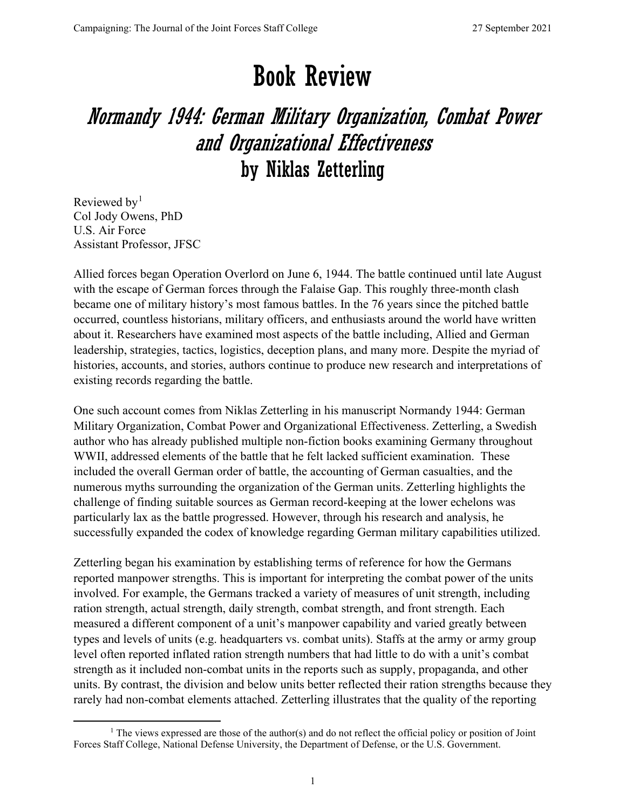## Book Review

## Normandy 1944: German Military Organization, Combat Power and Organizational Effectiveness by Niklas Zetterling

Reviewed by<sup>[1](#page-0-0)</sup> Col Jody Owens, PhD U.S. Air Force Assistant Professor, JFSC

Allied forces began Operation Overlord on June 6, 1944. The battle continued until late August with the escape of German forces through the Falaise Gap. This roughly three-month clash became one of military history's most famous battles. In the 76 years since the pitched battle occurred, countless historians, military officers, and enthusiasts around the world have written about it. Researchers have examined most aspects of the battle including, Allied and German leadership, strategies, tactics, logistics, deception plans, and many more. Despite the myriad of histories, accounts, and stories, authors continue to produce new research and interpretations of existing records regarding the battle.

One such account comes from Niklas Zetterling in his manuscript Normandy 1944: German Military Organization, Combat Power and Organizational Effectiveness. Zetterling, a Swedish author who has already published multiple non-fiction books examining Germany throughout WWII, addressed elements of the battle that he felt lacked sufficient examination. These included the overall German order of battle, the accounting of German casualties, and the numerous myths surrounding the organization of the German units. Zetterling highlights the challenge of finding suitable sources as German record-keeping at the lower echelons was particularly lax as the battle progressed. However, through his research and analysis, he successfully expanded the codex of knowledge regarding German military capabilities utilized.

Zetterling began his examination by establishing terms of reference for how the Germans reported manpower strengths. This is important for interpreting the combat power of the units involved. For example, the Germans tracked a variety of measures of unit strength, including ration strength, actual strength, daily strength, combat strength, and front strength. Each measured a different component of a unit's manpower capability and varied greatly between types and levels of units (e.g. headquarters vs. combat units). Staffs at the army or army group level often reported inflated ration strength numbers that had little to do with a unit's combat strength as it included non-combat units in the reports such as supply, propaganda, and other units. By contrast, the division and below units better reflected their ration strengths because they rarely had non-combat elements attached. Zetterling illustrates that the quality of the reporting

<span id="page-0-0"></span><sup>&</sup>lt;sup>1</sup> The views expressed are those of the author(s) and do not reflect the official policy or position of Joint Forces Staff College, National Defense University, the Department of Defense, or the U.S. Government.